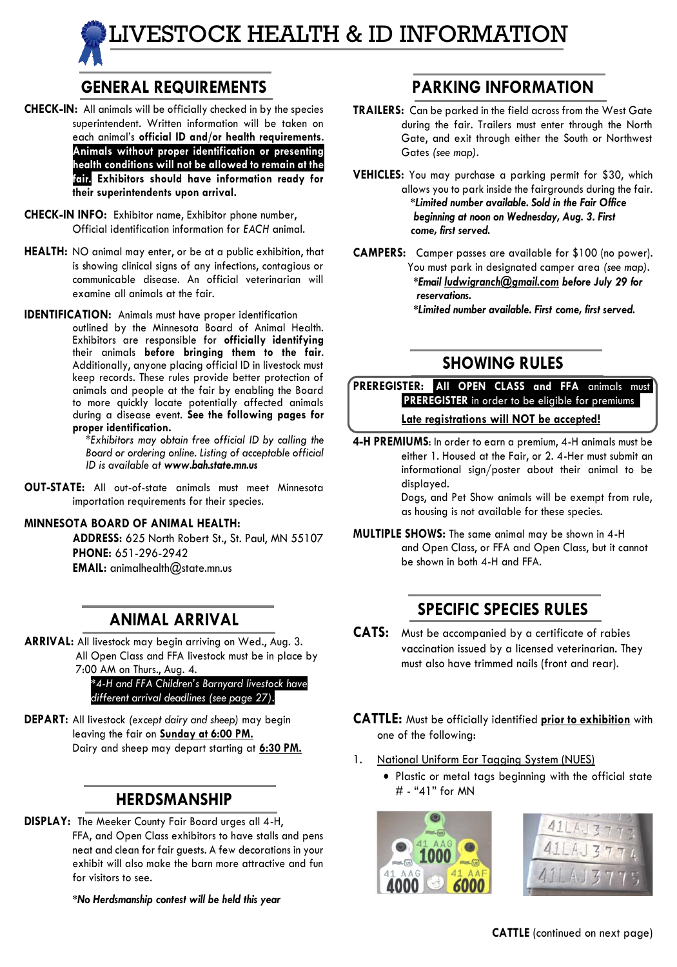# LIVESTOCK HEALTH & ID INFORMATION

# **GENERAL REQUIREMENTS**

- **CHECK-IN:** All animals will be officially checked in by the species superintendent. Written information will be taken on each animal's **official ID and/or health requirements**. **Animals without proper identification or presenting health conditions will not be allowed to remain at the fair. Exhibitors should have information ready for their superintendents upon arrival.**
- **CHECK-IN INFO:** Exhibitor name, Exhibitor phone number, Official identification information for *EACH* animal.
- **HEALTH:** NO animal may enter, or be at a public exhibition, that is showing clinical signs of any infections, contagious or communicable disease. An official veterinarian will examine all animals at the fair.
- **IDENTIFICATION:** Animals must have proper identification outlined by the Minnesota Board of Animal Health. Exhibitors are responsible for **officially identifying** their animals **before bringing them to the fair**. Additionally, anyone placing official ID in livestock must keep records. These rules provide better protection of animals and people at the fair by enabling the Board to more quickly locate potentially affected animals during a disease event. **See the following pages for proper identification.**

*\*Exhibitors may obtain free official ID by calling the Board or ordering online. Listing of acceptable official ID is available at www.bah.state.mn.us*

**OUT-STATE:** All out-of-state animals must meet Minnesota importation requirements for their species.

#### **MINNESOTA BOARD OF ANIMAL HEALTH:**

**ADDRESS:** 625 North Robert St., St. Paul, MN 55107 **PHONE:** 651-296-2942 **EMAIL:** animalhealth@state.mn.us

#### **ANIMAL ARRIVAL**

**ARRIVAL:** All livestock may begin arriving on Wed., Aug. 3. All Open Class and FFA livestock must be in place by 7:00 AM on Thurs., Aug. 4.

*\*4-H and FFA Children's Barnyard livestock have different arrival deadlines (see page 27).*

**DEPART:** All livestock *(except dairy and sheep)* may begin leaving the fair on **Sunday at 6:00 PM.** Dairy and sheep may depart starting at **6:30 PM.**

#### **HERDSMANSHIP**

**DISPLAY:** The Meeker County Fair Board urges all 4-H, FFA, and Open Class exhibitors to have stalls and pens neat and clean for fair guests. A few decorations in your exhibit will also make the barn more attractive and fun for visitors to see.

*\*No Herdsmanship contest will be held this year*

#### **PARKING INFORMATION**

- **TRAILERS:** Can be parked in the field across from the West Gate during the fair. Trailers must enter through the North Gate, and exit through either the South or Northwest Gates *(see map).*
- **VEHICLES:** You may purchase a parking permit for \$30, which allows you to park inside the fairgrounds during the fair.  *\*Limited number available. Sold in the Fair Office beginning at noon on Wednesday, Aug. 3. First come, first served.*
- **CAMPERS:** Camper passes are available for \$100 (no power). You must park in designated camper area *(see map). \*Email ludwigranch@gmail.com before July 29 for reservations. \*Limited number available. First come, first served.*

### **SHOWING RULES**

PREREGISTER: All OPEN CLASS and FFA animals must .**PREREGISTER** in order to be eligible for premiums*..* **Late registrations will NOT be accepted!**

**4-H PREMIUMS**: In order to earn a premium, 4-H animals must be either 1. Housed at the Fair, or 2. 4-Her must submit an informational sign/poster about their animal to be displayed.

Dogs, and Pet Show animals will be exempt from rule, as housing is not available for these species.

**MULTIPLE SHOWS:** The same animal may be shown in 4-H and Open Class, or FFA and Open Class, but it cannot be shown in both 4-H and FFA.

## **SPECIFIC SPECIES RULES**

- **CATS:** Must be accompanied by a certificate of rabies vaccination issued by a licensed veterinarian. They must also have trimmed nails (front and rear).
- **CATTLE:** Must be officially identified **prior to exhibition** with one of the following:
- 1. National Uniform Ear Tagging System (NUES)
	- Plastic or metal tags beginning with the official state # - "41" for MN



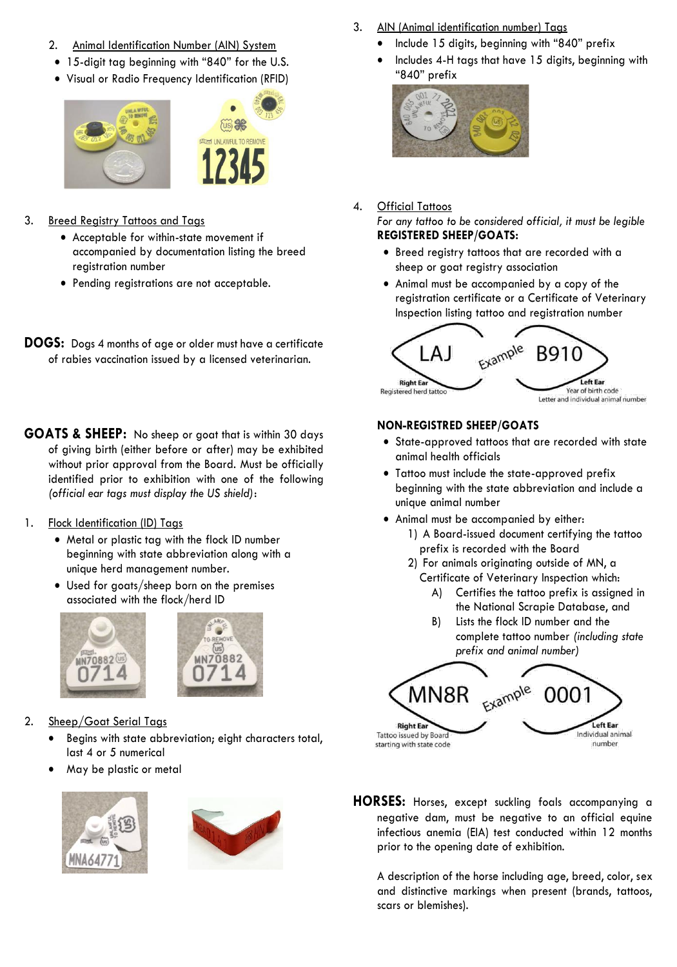- 2. Animal Identification Number (AIN) System
- 15-digit tag beginning with "840" for the U.S.
- Visual or Radio Frequency Identification (RFID)



- 3. Breed Registry Tattoos and Tags
	- Acceptable for within-state movement if accompanied by documentation listing the breed registration number
	- Pending registrations are not acceptable.
- **DOGS:** Dogs 4 months of age or older must have a certificate of rabies vaccination issued by a licensed veterinarian.
- **GOATS & SHEEP:** No sheep or goat that is within 30 days of giving birth (either before or after) may be exhibited without prior approval from the Board. Must be officially identified prior to exhibition with one of the following *(official ear tags must display the US shield)*:
- 1. Flock Identification (ID) Tags
	- Metal or plastic tag with the flock ID number beginning with state abbreviation along with a unique herd management number.
	- Used for goats/sheep born on the premises associated with the flock/herd ID





- 2. Sheep/Goat Serial Tags
	- Begins with state abbreviation; eight characters total, last 4 or 5 numerical
	- May be plastic or metal





- 3. AIN (Animal identification number) Tags
	- Include 15 digits, beginning with "840" prefix
	- Includes 4-H tags that have 15 digits, beginning with "840" prefix



- 4. Official Tattoos *For any tattoo to be considered official, it must be legible* **REGISTERED SHEEP/GOATS:**
	- Breed registry tattoos that are recorded with a sheep or goat registry association
	- Animal must be accompanied by a copy of the registration certificate or a Certificate of Veterinary Inspection listing tattoo and registration number



#### **NON-REGISTRED SHEEP/GOATS**

- State-approved tattoos that are recorded with state animal health officials
- Tattoo must include the state-approved prefix beginning with the state abbreviation and include a unique animal number
- Animal must be accompanied by either:
	- 1) A Board-issued document certifying the tattoo prefix is recorded with the Board
	- 2) For animals originating outside of MN, a Certificate of Veterinary Inspection which:
		- A) Certifies the tattoo prefix is assigned in the National Scrapie Database, and
		- B) Lists the flock ID number and the complete tattoo number *(including state prefix and animal number)*



**HORSES:** Horses, except suckling foals accompanying a negative dam, must be negative to an official equine infectious anemia (EIA) test conducted within 12 months prior to the opening date of exhibition.

A description of the horse including age, breed, color, sex and distinctive markings when present (brands, tattoos, scars or blemishes).